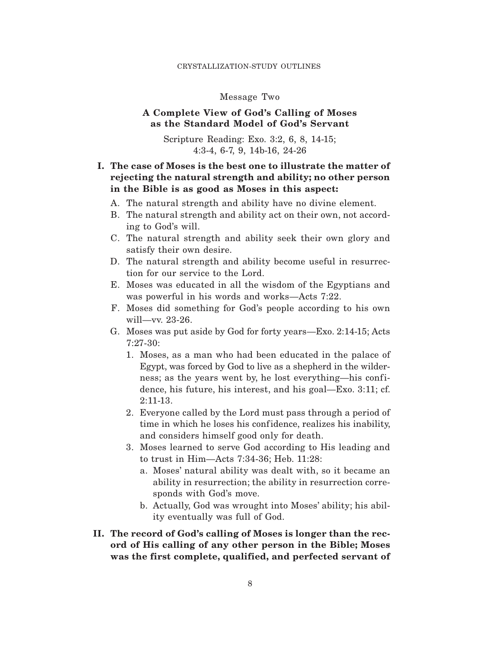#### CRYSTALLIZATION-STUDY OUTLINES

### Message Two

## **A Complete View of God's Calling of Moses as the Standard Model of God's Servant**

Scripture Reading: Exo. 3:2, 6, 8, 14-15; 4:3-4, 6-7, 9, 14b-16, 24-26

# **I. The case of Moses is the best one to illustrate the matter of rejecting the natural strength and ability; no other person in the Bible is as good as Moses in this aspect:**

- A. The natural strength and ability have no divine element.
- B. The natural strength and ability act on their own, not according to God's will.
- C. The natural strength and ability seek their own glory and satisfy their own desire.
- D. The natural strength and ability become useful in resurrection for our service to the Lord.
- E. Moses was educated in all the wisdom of the Egyptians and was powerful in his words and works—Acts 7:22.
- F. Moses did something for God's people according to his own will—vv. 23-26.
- G. Moses was put aside by God for forty years—Exo. 2:14-15; Acts 7:27-30:
	- 1. Moses, as a man who had been educated in the palace of Egypt, was forced by God to live as a shepherd in the wilderness; as the years went by, he lost everything—his confidence, his future, his interest, and his goal—Exo. 3:11; cf. 2:11-13.
	- 2. Everyone called by the Lord must pass through a period of time in which he loses his confidence, realizes his inability, and considers himself good only for death.
	- 3. Moses learned to serve God according to His leading and to trust in Him—Acts 7:34-36; Heb. 11:28:
		- a. Moses' natural ability was dealt with, so it became an ability in resurrection; the ability in resurrection corresponds with God's move.
		- b. Actually, God was wrought into Moses' ability; his ability eventually was full of God.
- **II. The record of God's calling of Moses is longer than the record of His calling of any other person in the Bible; Moses was the first complete, qualified, and perfected servant of**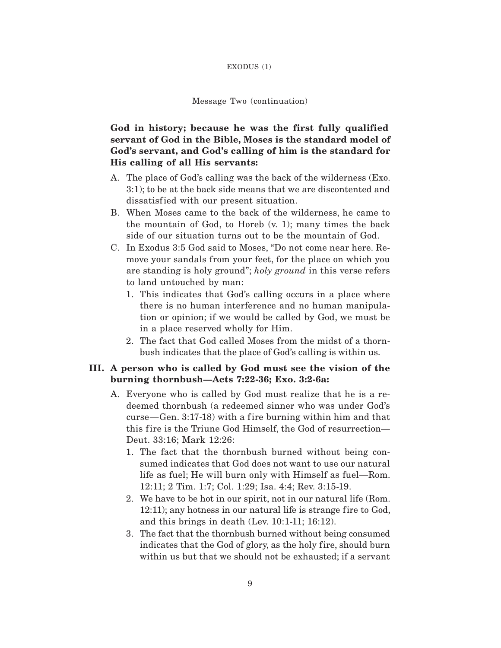#### EXODUS (1)

#### Message Two (continuation)

# **God in history; because he was the first fully qualified servant of God in the Bible, Moses is the standard model of God's servant, and God's calling of him is the standard for His calling of all His servants:**

- A. The place of God's calling was the back of the wilderness (Exo. 3:1); to be at the back side means that we are discontented and dissatisfied with our present situation.
- B. When Moses came to the back of the wilderness, he came to the mountain of God, to Horeb (v. 1); many times the back side of our situation turns out to be the mountain of God.
- C. In Exodus 3:5 God said to Moses, "Do not come near here. Remove your sandals from your feet, for the place on which you are standing is holy ground"; *holy ground* in this verse refers to land untouched by man:
	- 1. This indicates that God's calling occurs in a place where there is no human interference and no human manipulation or opinion; if we would be called by God, we must be in a place reserved wholly for Him.
	- 2. The fact that God called Moses from the midst of a thornbush indicates that the place of God's calling is within us.
- **III. A person who is called by God must see the vision of the burning thornbush—Acts 7:22-36; Exo. 3:2-6a:**
	- A. Everyone who is called by God must realize that he is a redeemed thornbush (a redeemed sinner who was under God's  $curse—Gen. 3:17-18$  with a fire burning within him and that this fire is the Triune God Himself, the God of resurrection— Deut. 33:16; Mark 12:26:
		- 1. The fact that the thornbush burned without being consumed indicates that God does not want to use our natural life as fuel; He will burn only with Himself as fuel—Rom. 12:11; 2 Tim. 1:7; Col. 1:29; Isa. 4:4; Rev. 3:15-19.
		- 2. We have to be hot in our spirit, not in our natural life (Rom.  $12:11$ ; any hotness in our natural life is strange fire to God, and this brings in death (Lev. 10:1-11; 16:12).
		- 3. The fact that the thornbush burned without being consumed indicates that the God of glory, as the holy fire, should burn within us but that we should not be exhausted; if a servant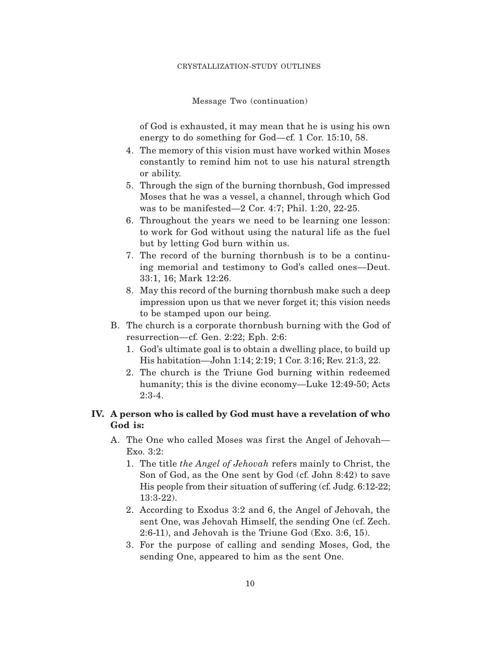Message Two (continuation)

of God is exhausted, it may mean that he is using his own energy to do something for God—cf. 1 Cor. 15:10, 58.

- 4. The memory of this vision must have worked within Moses constantly to remind him not to use his natural strength or ability.
- 5. Through the sign of the burning thornbush, God impressed Moses that he was a vessel, a channel, through which God was to be manifested—2 Cor. 4:7; Phil. 1:20, 22-25.
- 6. Throughout the years we need to be learning one lesson: to work for God without using the natural life as the fuel but by letting God burn within us.
- 7. The record of the burning thornbush is to be a continuing memorial and testimony to God's called ones—Deut. 33:1, 16; Mark 12:26.
- 8. May this record of the burning thornbush make such a deep impression upon us that we never forget it; this vision needs to be stamped upon our being.
- B. The church is a corporate thornbush burning with the God of resurrection—cf. Gen. 2:22; Eph. 2:6:
	- 1. God's ultimate goal is to obtain a dwelling place, to build up His habitation—John 1:14; 2:19; 1 Cor. 3:16; Rev. 21:3, 22.
	- 2. The church is the Triune God burning within redeemed humanity; this is the divine economy—Luke 12:49-50; Acts 2:3-4.

### **IV. A person who is called by God must have a revelation of who God is:**

- A. The One who called Moses was first the Angel of Jehovah-Exo. 3:2:
	- 1. The title *the Angel of Jehovah* refers mainly to Christ, the Son of God, as the One sent by God (cf. John 8:42) to save His people from their situation of suffering (cf. Judg. 6:12-22; 13:3-22).
	- 2. According to Exodus 3:2 and 6, the Angel of Jehovah, the sent One, was Jehovah Himself, the sending One (cf. Zech. 2:6-11), and Jehovah is the Triune God (Exo. 3:6, 15).
	- 3. For the purpose of calling and sending Moses, God, the sending One, appeared to him as the sent One.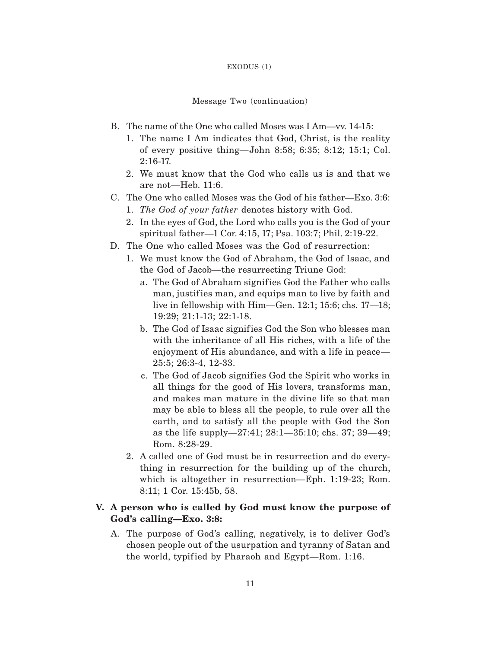#### EXODUS (1)

### Message Two (continuation)

- B. The name of the One who called Moses was I Am—vv. 14-15:
	- 1. The name I Am indicates that God, Christ, is the reality of every positive thing—John 8:58; 6:35; 8:12; 15:1; Col. 2:16-17.
	- 2. We must know that the God who calls us is and that we are not—Heb. 11:6.
- C. The One who called Moses was the God of his father—Exo. 3:6:
	- 1. *The God of your father* denotes history with God.
	- 2. In the eyes of God, the Lord who calls you is the God of your spiritual father—1 Cor. 4:15, 17; Psa. 103:7; Phil. 2:19-22.
- D. The One who called Moses was the God of resurrection:
	- 1. We must know the God of Abraham, the God of Isaac, and the God of Jacob—the resurrecting Triune God:
		- a. The God of Abraham signif ies God the Father who calls man, justifies man, and equips man to live by faith and live in fellowship with Him—Gen. 12:1; 15:6; chs. 17—18; 19:29; 21:1-13; 22:1-18.
		- b. The God of Isaac signifies God the Son who blesses man with the inheritance of all His riches, with a life of the enjoyment of His abundance, and with a life in peace— 25:5; 26:3-4, 12-33.
		- c. The God of Jacob signifies God the Spirit who works in all things for the good of His lovers, transforms man, and makes man mature in the divine life so that man may be able to bless all the people, to rule over all the earth, and to satisfy all the people with God the Son as the life supply—27:41; 28:1—35:10; chs. 37; 39—49; Rom. 8:28-29.
	- 2. A called one of God must be in resurrection and do everything in resurrection for the building up of the church, which is altogether in resurrection—Eph. 1:19-23; Rom. 8:11; 1 Cor. 15:45b, 58.

## **V. A person who is called by God must know the purpose of God's calling—Exo. 3:8:**

A. The purpose of God's calling, negatively, is to deliver God's chosen people out of the usurpation and tyranny of Satan and the world, typified by Pharaoh and Egypt—Rom. 1:16.